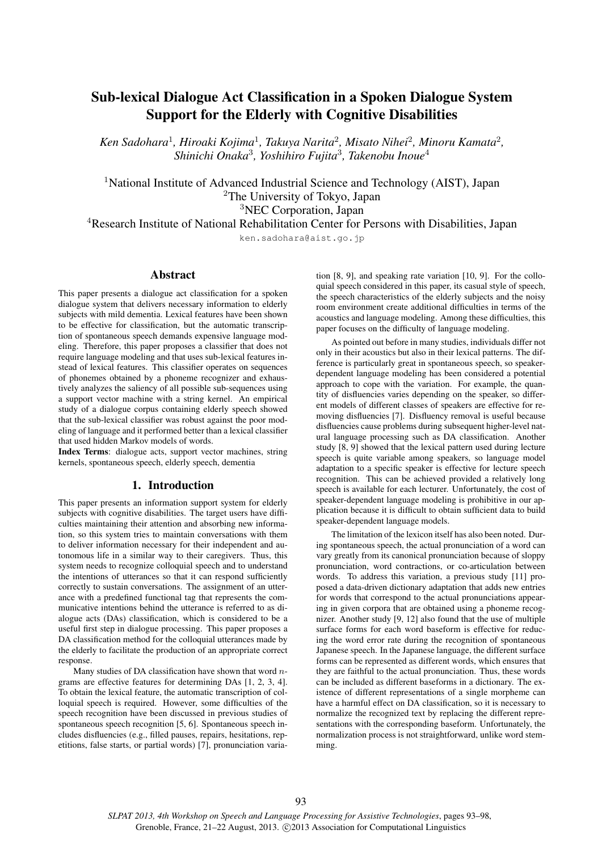# Sub-lexical Dialogue Act Classification in a Spoken Dialogue System Support for the Elderly with Cognitive Disabilities

*Ken Sadohara*<sup>1</sup> *, Hiroaki Kojima*<sup>1</sup> *, Takuya Narita*<sup>2</sup> *, Misato Nihei*<sup>2</sup> *, Minoru Kamata*<sup>2</sup> *, Shinichi Onaka*<sup>3</sup> *, Yoshihiro Fujita*<sup>3</sup> *, Takenobu Inoue*<sup>4</sup>

<sup>1</sup>National Institute of Advanced Industrial Science and Technology (AIST), Japan <sup>2</sup>The University of Tokyo, Japan <sup>3</sup>NEC Corporation, Japan

<sup>4</sup>Research Institute of National Rehabilitation Center for Persons with Disabilities, Japan

ken.sadohara@aist.go.jp

## Abstract

This paper presents a dialogue act classification for a spoken dialogue system that delivers necessary information to elderly subjects with mild dementia. Lexical features have been shown to be effective for classification, but the automatic transcription of spontaneous speech demands expensive language modeling. Therefore, this paper proposes a classifier that does not require language modeling and that uses sub-lexical features instead of lexical features. This classifier operates on sequences of phonemes obtained by a phoneme recognizer and exhaustively analyzes the saliency of all possible sub-sequences using a support vector machine with a string kernel. An empirical study of a dialogue corpus containing elderly speech showed that the sub-lexical classifier was robust against the poor modeling of language and it performed better than a lexical classifier that used hidden Markov models of words.

Index Terms: dialogue acts, support vector machines, string kernels, spontaneous speech, elderly speech, dementia

# 1. Introduction

This paper presents an information support system for elderly subjects with cognitive disabilities. The target users have difficulties maintaining their attention and absorbing new information, so this system tries to maintain conversations with them to deliver information necessary for their independent and autonomous life in a similar way to their caregivers. Thus, this system needs to recognize colloquial speech and to understand the intentions of utterances so that it can respond sufficiently correctly to sustain conversations. The assignment of an utterance with a predefined functional tag that represents the communicative intentions behind the utterance is referred to as dialogue acts (DAs) classification, which is considered to be a useful first step in dialogue processing. This paper proposes a DA classification method for the colloquial utterances made by the elderly to facilitate the production of an appropriate correct response.

Many studies of DA classification have shown that word  $n$ grams are effective features for determining DAs [1, 2, 3, 4]. To obtain the lexical feature, the automatic transcription of colloquial speech is required. However, some difficulties of the speech recognition have been discussed in previous studies of spontaneous speech recognition [5, 6]. Spontaneous speech includes disfluencies (e.g., filled pauses, repairs, hesitations, repetitions, false starts, or partial words) [7], pronunciation variation [8, 9], and speaking rate variation [10, 9]. For the colloquial speech considered in this paper, its casual style of speech, the speech characteristics of the elderly subjects and the noisy room environment create additional difficulties in terms of the acoustics and language modeling. Among these difficulties, this paper focuses on the difficulty of language modeling.

As pointed out before in many studies, individuals differ not only in their acoustics but also in their lexical patterns. The difference is particularly great in spontaneous speech, so speakerdependent language modeling has been considered a potential approach to cope with the variation. For example, the quantity of disfluencies varies depending on the speaker, so different models of different classes of speakers are effective for removing disfluencies [7]. Disfluency removal is useful because disfluencies cause problems during subsequent higher-level natural language processing such as DA classification. Another study [8, 9] showed that the lexical pattern used during lecture speech is quite variable among speakers, so language model adaptation to a specific speaker is effective for lecture speech recognition. This can be achieved provided a relatively long speech is available for each lecturer. Unfortunately, the cost of speaker-dependent language modeling is prohibitive in our application because it is difficult to obtain sufficient data to build speaker-dependent language models.

The limitation of the lexicon itself has also been noted. During spontaneous speech, the actual pronunciation of a word can vary greatly from its canonical pronunciation because of sloppy pronunciation, word contractions, or co-articulation between words. To address this variation, a previous study [11] proposed a data-driven dictionary adaptation that adds new entries for words that correspond to the actual pronunciations appearing in given corpora that are obtained using a phoneme recognizer. Another study [9, 12] also found that the use of multiple surface forms for each word baseform is effective for reducing the word error rate during the recognition of spontaneous Japanese speech. In the Japanese language, the different surface forms can be represented as different words, which ensures that they are faithful to the actual pronunciation. Thus, these words can be included as different baseforms in a dictionary. The existence of different representations of a single morpheme can have a harmful effect on DA classification, so it is necessary to normalize the recognized text by replacing the different representations with the corresponding baseform. Unfortunately, the normalization process is not straightforward, unlike word stemming.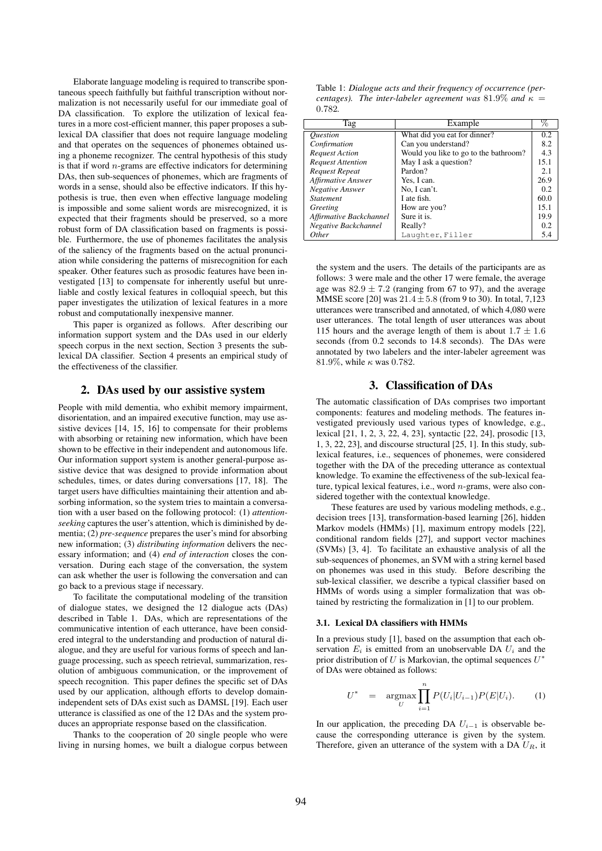Elaborate language modeling is required to transcribe spontaneous speech faithfully but faithful transcription without normalization is not necessarily useful for our immediate goal of DA classification. To explore the utilization of lexical features in a more cost-efficient manner, this paper proposes a sublexical DA classifier that does not require language modeling and that operates on the sequences of phonemes obtained using a phoneme recognizer. The central hypothesis of this study is that if word  $n$ -grams are effective indicators for determining DAs, then sub-sequences of phonemes, which are fragments of words in a sense, should also be effective indicators. If this hypothesis is true, then even when effective language modeling is impossible and some salient words are misrecognized, it is expected that their fragments should be preserved, so a more robust form of DA classification based on fragments is possible. Furthermore, the use of phonemes facilitates the analysis of the saliency of the fragments based on the actual pronunciation while considering the patterns of misrecognition for each speaker. Other features such as prosodic features have been investigated [13] to compensate for inherently useful but unreliable and costly lexical features in colloquial speech, but this paper investigates the utilization of lexical features in a more robust and computationally inexpensive manner.

This paper is organized as follows. After describing our information support system and the DAs used in our elderly speech corpus in the next section, Section 3 presents the sublexical DA classifier. Section 4 presents an empirical study of the effectiveness of the classifier.

#### 2. DAs used by our assistive system

People with mild dementia, who exhibit memory impairment, disorientation, and an impaired executive function, may use assistive devices [14, 15, 16] to compensate for their problems with absorbing or retaining new information, which have been shown to be effective in their independent and autonomous life. Our information support system is another general-purpose assistive device that was designed to provide information about schedules, times, or dates during conversations [17, 18]. The target users have difficulties maintaining their attention and absorbing information, so the system tries to maintain a conversation with a user based on the following protocol: (1) *attentionseeking* captures the user's attention, which is diminished by dementia; (2) *pre-sequence* prepares the user's mind for absorbing new information; (3) *distributing information* delivers the necessary information; and (4) *end of interaction* closes the conversation. During each stage of the conversation, the system can ask whether the user is following the conversation and can go back to a previous stage if necessary.

To facilitate the computational modeling of the transition of dialogue states, we designed the 12 dialogue acts (DAs) described in Table 1. DAs, which are representations of the communicative intention of each utterance, have been considered integral to the understanding and production of natural dialogue, and they are useful for various forms of speech and language processing, such as speech retrieval, summarization, resolution of ambiguous communication, or the improvement of speech recognition. This paper defines the specific set of DAs used by our application, although efforts to develop domainindependent sets of DAs exist such as DAMSL [19]. Each user utterance is classified as one of the 12 DAs and the system produces an appropriate response based on the classification.

Thanks to the cooperation of 20 single people who were living in nursing homes, we built a dialogue corpus between

Table 1: *Dialogue acts and their frequency of occurrence (percentages). The inter-labeler agreement was* 81.9% *and*  $\kappa$  = 0.782*.*

| Tag                           | Example                               |      |
|-------------------------------|---------------------------------------|------|
| <i><u><b>Ouestion</b></u></i> | What did you eat for dinner?          | 0.2  |
| Confirmation                  | Can you understand?                   | 8.2  |
| <b>Request Action</b>         | Would you like to go to the bathroom? | 4.3  |
| <b>Request Attention</b>      | May I ask a question?                 | 15.1 |
| <b>Request Repeat</b>         | Pardon?                               | 2.1  |
| Affirmative Answer            | Yes, I can.                           | 26.9 |
| Negative Answer               | No, I can't.                          | 0.2  |
| <i>Statement</i>              | I ate fish.                           | 60.0 |
| Greeting                      | How are you?                          | 15.1 |
| Affirmative Backchannel       | Sure it is.                           | 19.9 |
| Negative Backchannel          | Really?                               | 0.2  |
| Other                         | Laughter, Filler                      | 5.4  |

the system and the users. The details of the participants are as follows: 3 were male and the other 17 were female, the average age was  $82.9 \pm 7.2$  (ranging from 67 to 97), and the average MMSE score [20] was  $21.4 \pm 5.8$  (from 9 to 30). In total, 7,123 utterances were transcribed and annotated, of which 4,080 were user utterances. The total length of user utterances was about 115 hours and the average length of them is about  $1.7 \pm 1.6$ seconds (from 0.2 seconds to 14.8 seconds). The DAs were annotated by two labelers and the inter-labeler agreement was 81.9%, while  $\kappa$  was 0.782.

## 3. Classification of DAs

The automatic classification of DAs comprises two important components: features and modeling methods. The features investigated previously used various types of knowledge, e.g., lexical [21, 1, 2, 3, 22, 4, 23], syntactic [22, 24], prosodic [13, 1, 3, 22, 23], and discourse structural [25, 1]. In this study, sublexical features, i.e., sequences of phonemes, were considered together with the DA of the preceding utterance as contextual knowledge. To examine the effectiveness of the sub-lexical feature, typical lexical features, i.e., word n-grams, were also considered together with the contextual knowledge.

These features are used by various modeling methods, e.g., decision trees [13], transformation-based learning [26], hidden Markov models (HMMs) [1], maximum entropy models [22], conditional random fields [27], and support vector machines (SVMs) [3, 4]. To facilitate an exhaustive analysis of all the sub-sequences of phonemes, an SVM with a string kernel based on phonemes was used in this study. Before describing the sub-lexical classifier, we describe a typical classifier based on HMMs of words using a simpler formalization that was obtained by restricting the formalization in [1] to our problem.

#### 3.1. Lexical DA classifiers with HMMs

In a previous study [1], based on the assumption that each observation  $E_i$  is emitted from an unobservable DA  $U_i$  and the prior distribution of U is Markovian, the optimal sequences  $U^*$ of DAs were obtained as follows:

$$
U^* = \underset{U}{\text{argmax}} \prod_{i=1}^n P(U_i|U_{i-1}) P(E|U_i). \quad (1)
$$

In our application, the preceding DA  $U_{i-1}$  is observable because the corresponding utterance is given by the system. Therefore, given an utterance of the system with a DA  $U_R$ , it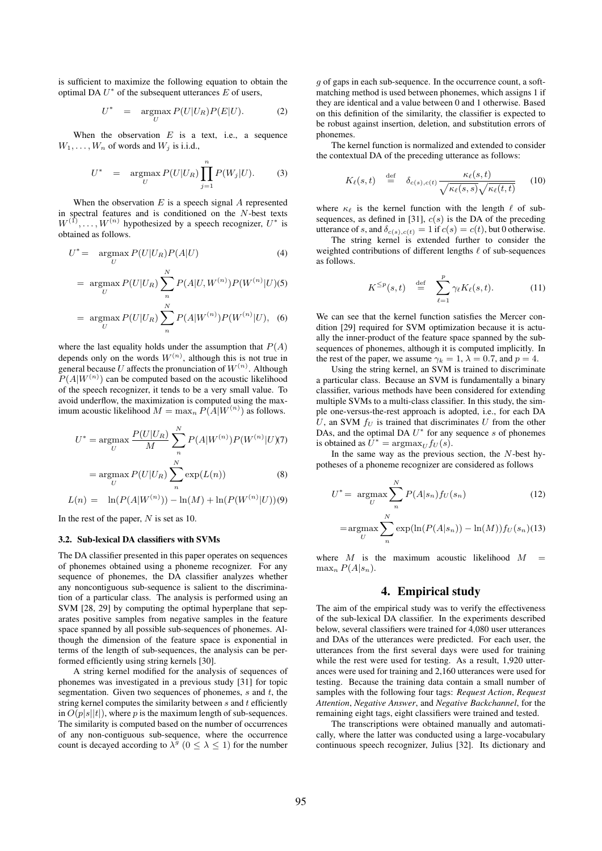is sufficient to maximize the following equation to obtain the optimal DA  $U^*$  of the subsequent utterances  $E$  of users,

$$
U^* = \underset{U}{\text{argmax}} P(U|U_R)P(E|U). \tag{2}
$$

When the observation  $E$  is a text, i.e., a sequence  $W_1, \ldots, W_n$  of words and  $W_i$  is i.i.d.,

$$
U^* = \underset{U}{\operatorname{argmax}} P(U|U_R) \prod_{j=1}^n P(W_j|U). \tag{3}
$$

When the observation  $E$  is a speech signal  $A$  represented in spectral features and is conditioned on the N-best texts  $W^{(1)}, \ldots, W^{(n)}$  hypothesized by a speech recognizer,  $U^*$  is obtained as follows.

$$
U^* = \underset{U}{\text{argmax}} P(U|U_R)P(A|U) \tag{4}
$$

$$
= \underset{U}{\text{argmax}} P(U|U_R) \sum_{n=1}^{N} P(A|U, W^{(n)}) P(W^{(n)}|U)(5)
$$

$$
= \underset{U}{\text{argmax}} P(U|U_R) \sum_{n}^{N} P(A|W^{(n)}) P(W^{(n)}|U), \quad (6)
$$

where the last equality holds under the assumption that  $P(A)$ depends only on the words  $W^{(n)}$ , although this is not true in general because U affects the pronunciation of  $W^{(n)}$ . Although  $P(A|W^{(n)})$  can be computed based on the acoustic likelihood of the speech recognizer, it tends to be a very small value. To avoid underflow, the maximization is computed using the maximum acoustic likelihood  $M = \max_n P(A|W^{(n)})$  as follows.

$$
U^* = \underset{U}{\operatorname{argmax}} \frac{P(U|U_R)}{M} \sum_{n}^{N} P(A|W^{(n)}) P(W^{(n)}|U)(7)
$$

$$
= \underset{U}{\operatorname{argmax}} P(U|U_R) \sum_{n}^{N} \exp(L(n)) \tag{8}
$$

$$
L(n) = \ln(P(A|W^{(n)})) - \ln(M) + \ln(P(W^{(n)}|U))(9)
$$

In the rest of the paper, N is set as 10.

#### 3.2. Sub-lexical DA classifiers with SVMs

The DA classifier presented in this paper operates on sequences of phonemes obtained using a phoneme recognizer. For any sequence of phonemes, the DA classifier analyzes whether any noncontiguous sub-sequence is salient to the discrimination of a particular class. The analysis is performed using an SVM [28, 29] by computing the optimal hyperplane that separates positive samples from negative samples in the feature space spanned by all possible sub-sequences of phonemes. Although the dimension of the feature space is exponential in terms of the length of sub-sequences, the analysis can be performed efficiently using string kernels [30].

A string kernel modified for the analysis of sequences of phonemes was investigated in a previous study [31] for topic segmentation. Given two sequences of phonemes,  $s$  and  $t$ , the string kernel computes the similarity between  $s$  and  $t$  efficiently in  $O(p|s||t|)$ , where p is the maximum length of sub-sequences. The similarity is computed based on the number of occurrences of any non-contiguous sub-sequence, where the occurrence count is decayed according to  $\lambda^g$  ( $0 \le \lambda \le 1$ ) for the number

 $g$  of gaps in each sub-sequence. In the occurrence count, a softmatching method is used between phonemes, which assigns 1 if they are identical and a value between 0 and 1 otherwise. Based on this definition of the similarity, the classifier is expected to be robust against insertion, deletion, and substitution errors of phonemes.

The kernel function is normalized and extended to consider the contextual DA of the preceding utterance as follows:

$$
K_{\ell}(s,t) \stackrel{\text{def}}{=} \delta_{c(s),c(t)} \frac{\kappa_{\ell}(s,t)}{\sqrt{\kappa_{\ell}(s,s)}\sqrt{\kappa_{\ell}(t,t)}} \qquad (10)
$$

where  $\kappa_{\ell}$  is the kernel function with the length  $\ell$  of subsequences, as defined in [31],  $c(s)$  is the DA of the preceding utterance of s, and  $\delta_{c(s),c(t)} = 1$  if  $c(s) = c(t)$ , but 0 otherwise.

The string kernel is extended further to consider the weighted contributions of different lengths  $ℓ$  of sub-sequences as follows.

$$
K^{\leq p}(s,t) \stackrel{\text{def}}{=} \sum_{\ell=1}^{p} \gamma_{\ell} K_{\ell}(s,t). \tag{11}
$$

We can see that the kernel function satisfies the Mercer condition [29] required for SVM optimization because it is actually the inner-product of the feature space spanned by the subsequences of phonemes, although it is computed implicitly. In the rest of the paper, we assume  $\gamma_k = 1$ ,  $\lambda = 0.7$ , and  $p = 4$ .

Using the string kernel, an SVM is trained to discriminate a particular class. Because an SVM is fundamentally a binary classifier, various methods have been considered for extending multiple SVMs to a multi-class classifier. In this study, the simple one-versus-the-rest approach is adopted, i.e., for each DA U, an SVM  $f_U$  is trained that discriminates U from the other DAs, and the optimal DA  $U^*$  for any sequence s of phonemes is obtained as  $U^* = \text{argmax}_U f_U(s)$ .

In the same way as the previous section, the  $N$ -best hypotheses of a phoneme recognizer are considered as follows

$$
U^* = \underset{U}{\operatorname{argmax}} \sum_{n}^{N} P(A|s_n) f_U(s_n)
$$
(12)  

$$
= \underset{U}{\operatorname{argmax}} \sum_{n}^{N} \exp(\ln(P(A|s_n)) - \ln(M)) f_U(s_n)
$$
(13)

where  $M$  is the maximum acoustic likelihood  $M$  $\max_n P(A|s_n)$ .

n

# 4. Empirical study

The aim of the empirical study was to verify the effectiveness of the sub-lexical DA classifier. In the experiments described below, several classifiers were trained for 4,080 user utterances and DAs of the utterances were predicted. For each user, the utterances from the first several days were used for training while the rest were used for testing. As a result, 1,920 utterances were used for training and 2,160 utterances were used for testing. Because the training data contain a small number of samples with the following four tags: *Request Action*, *Request Attention*, *Negative Answer*, and *Negative Backchannel*, for the remaining eight tags, eight classifiers were trained and tested.

The transcriptions were obtained manually and automatically, where the latter was conducted using a large-vocabulary continuous speech recognizer, Julius [32]. Its dictionary and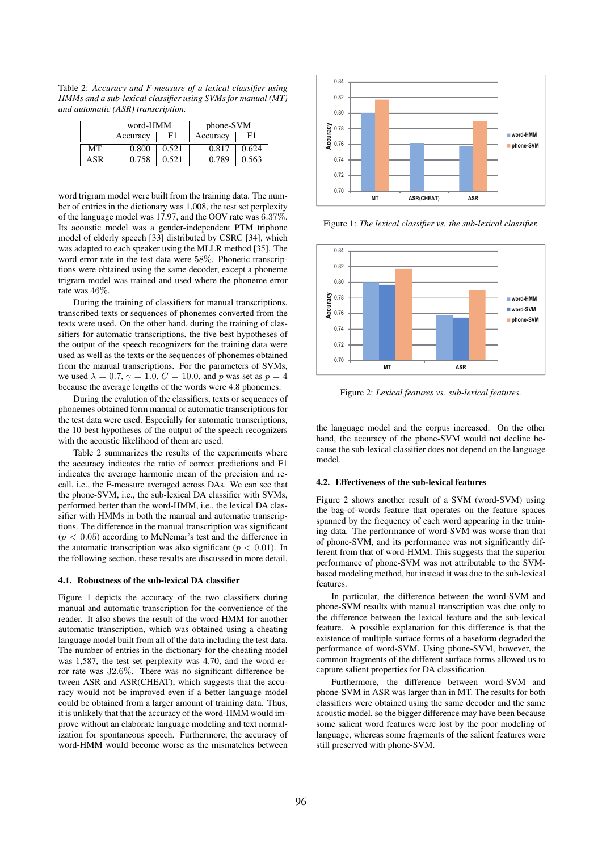Table 2: *Accuracy and F-measure of a lexical classifier using HMMs and a sub-lexical classifier using SVMs for manual (MT) and automatic (ASR) transcription.*

|     | word-HMM |       | phone-SVM |       |
|-----|----------|-------|-----------|-------|
|     | Accuracy | FТ    | Accuracy  |       |
| MТ  | 0.800    | 0.521 | 0.817     | 0.624 |
| ASR | 0.758    | 0.521 | 0.789     | 0.563 |

word trigram model were built from the training data. The number of entries in the dictionary was 1,008, the test set perplexity of the language model was 17.97, and the OOV rate was 6.37%. Its acoustic model was a gender-independent PTM triphone model of elderly speech [33] distributed by CSRC [34], which was adapted to each speaker using the MLLR method [35]. The word error rate in the test data were 58%. Phonetic transcriptions were obtained using the same decoder, except a phoneme trigram model was trained and used where the phoneme error rate was 46%.

During the training of classifiers for manual transcriptions, transcribed texts or sequences of phonemes converted from the texts were used. On the other hand, during the training of classifiers for automatic transcriptions, the five best hypotheses of the output of the speech recognizers for the training data were used as well as the texts or the sequences of phonemes obtained from the manual transcriptions. For the parameters of SVMs, we used  $\lambda = 0.7$ ,  $\gamma = 1.0$ ,  $C = 10.0$ , and p was set as  $p = 4$ because the average lengths of the words were 4.8 phonemes.

During the evalution of the classifiers, texts or sequences of phonemes obtained form manual or automatic transcriptions for the test data were used. Especially for automatic transcriptions, the 10 best hypotheses of the output of the speech recognizers with the acoustic likelihood of them are used.

Table 2 summarizes the results of the experiments where the accuracy indicates the ratio of correct predictions and F1 indicates the average harmonic mean of the precision and recall, i.e., the F-measure averaged across DAs. We can see that the phone-SVM, i.e., the sub-lexical DA classifier with SVMs, performed better than the word-HMM, i.e., the lexical DA classifier with HMMs in both the manual and automatic transcriptions. The difference in the manual transcription was significant  $(p < 0.05)$  according to McNemar's test and the difference in the automatic transcription was also significant ( $p < 0.01$ ). In the following section, these results are discussed in more detail.

#### 4.1. Robustness of the sub-lexical DA classifier

Figure 1 depicts the accuracy of the two classifiers during manual and automatic transcription for the convenience of the reader. It also shows the result of the word-HMM for another automatic transcription, which was obtained using a cheating language model built from all of the data including the test data. The number of entries in the dictionary for the cheating model was 1,587, the test set perplexity was 4.70, and the word error rate was 32.6%. There was no significant difference between ASR and ASR(CHEAT), which suggests that the accuracy would not be improved even if a better language model could be obtained from a larger amount of training data. Thus, it is unlikely that that the accuracy of the word-HMM would improve without an elaborate language modeling and text normalization for spontaneous speech. Furthermore, the accuracy of word-HMM would become worse as the mismatches between



Figure 1: *The lexical classifier vs. the sub-lexical classifier.*



Figure 2: *Lexical features vs. sub-lexical features.*

the language model and the corpus increased. On the other hand, the accuracy of the phone-SVM would not decline because the sub-lexical classifier does not depend on the language model.

#### 4.2. Effectiveness of the sub-lexical features

Figure 2 shows another result of a SVM (word-SVM) using the bag-of-words feature that operates on the feature spaces spanned by the frequency of each word appearing in the training data. The performance of word-SVM was worse than that of phone-SVM, and its performance was not significantly different from that of word-HMM. This suggests that the superior performance of phone-SVM was not attributable to the SVMbased modeling method, but instead it was due to the sub-lexical features.

In particular, the difference between the word-SVM and phone-SVM results with manual transcription was due only to the difference between the lexical feature and the sub-lexical feature. A possible explanation for this difference is that the existence of multiple surface forms of a baseform degraded the performance of word-SVM. Using phone-SVM, however, the common fragments of the different surface forms allowed us to capture salient properties for DA classification.

Furthermore, the difference between word-SVM and phone-SVM in ASR was larger than in MT. The results for both classifiers were obtained using the same decoder and the same acoustic model, so the bigger difference may have been because some salient word features were lost by the poor modeling of language, whereas some fragments of the salient features were still preserved with phone-SVM.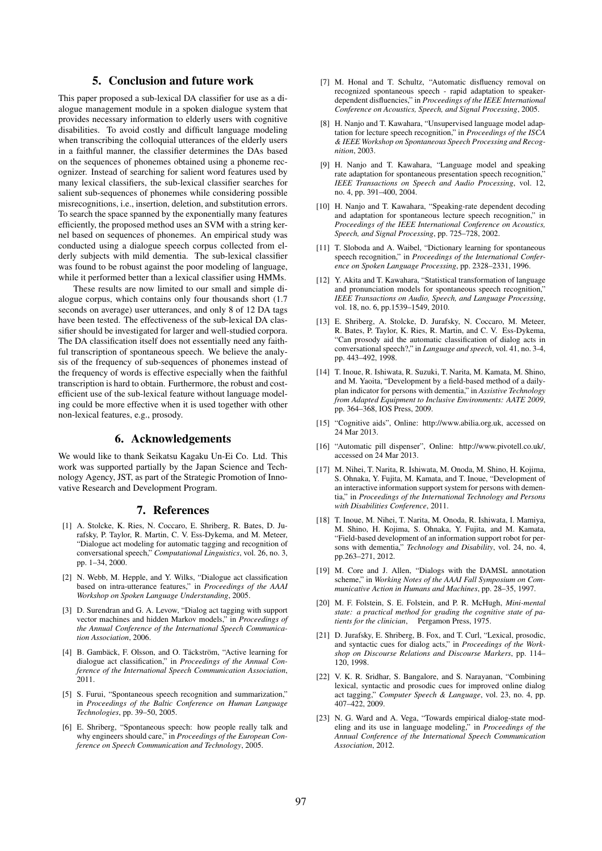# 5. Conclusion and future work

This paper proposed a sub-lexical DA classifier for use as a dialogue management module in a spoken dialogue system that provides necessary information to elderly users with cognitive disabilities. To avoid costly and difficult language modeling when transcribing the colloquial utterances of the elderly users in a faithful manner, the classifier determines the DAs based on the sequences of phonemes obtained using a phoneme recognizer. Instead of searching for salient word features used by many lexical classifiers, the sub-lexical classifier searches for salient sub-sequences of phonemes while considering possible misrecognitions, i.e., insertion, deletion, and substitution errors. To search the space spanned by the exponentially many features efficiently, the proposed method uses an SVM with a string kernel based on sequences of phonemes. An empirical study was conducted using a dialogue speech corpus collected from elderly subjects with mild dementia. The sub-lexical classifier was found to be robust against the poor modeling of language, while it performed better than a lexical classifier using HMMs.

These results are now limited to our small and simple dialogue corpus, which contains only four thousands short (1.7 seconds on average) user utterances, and only 8 of 12 DA tags have been tested. The effectiveness of the sub-lexical DA classifier should be investigated for larger and well-studied corpora. The DA classification itself does not essentially need any faithful transcription of spontaneous speech. We believe the analysis of the frequency of sub-sequences of phonemes instead of the frequency of words is effective especially when the faithful transcription is hard to obtain. Furthermore, the robust and costefficient use of the sub-lexical feature without language modeling could be more effective when it is used together with other non-lexical features, e.g., prosody.

# 6. Acknowledgements

We would like to thank Seikatsu Kagaku Un-Ei Co. Ltd. This work was supported partially by the Japan Science and Technology Agency, JST, as part of the Strategic Promotion of Innovative Research and Development Program.

#### 7. References

- [1] A. Stolcke, K. Ries, N. Coccaro, E. Shriberg, R. Bates, D. Jurafsky, P. Taylor, R. Martin, C. V. Ess-Dykema, and M. Meteer, "Dialogue act modeling for automatic tagging and recognition of conversational speech," *Computational Linguistics*, vol. 26, no. 3, pp. 1–34, 2000.
- [2] N. Webb, M. Hepple, and Y. Wilks, "Dialogue act classification based on intra-utterance features," in *Proceedings of the AAAI Workshop on Spoken Language Understanding*, 2005.
- [3] D. Surendran and G. A. Levow, "Dialog act tagging with support vector machines and hidden Markov models," in *Proceedings of the Annual Conference of the International Speech Communication Association*, 2006.
- [4] B. Gambäck, F. Olsson, and O. Täckström, "Active learning for dialogue act classification," in *Proceedings of the Annual Conference of the International Speech Communication Association*, 2011.
- [5] S. Furui, "Spontaneous speech recognition and summarization," in *Proceedings of the Baltic Conference on Human Language Technologies*, pp. 39–50, 2005.
- [6] E. Shriberg, "Spontaneous speech: how people really talk and why engineers should care," in *Proceedings of the European Conference on Speech Communication and Technology*, 2005.
- [7] M. Honal and T. Schultz, "Automatic disfluency removal on recognized spontaneous speech - rapid adaptation to speakerdependent disfluencies," in *Proceedings of the IEEE International Conference on Acoustics, Speech, and Signal Processing*, 2005.
- [8] H. Nanjo and T. Kawahara, "Unsupervised language model adaptation for lecture speech recognition," in *Proceedings of the ISCA & IEEE Workshop on Spontaneous Speech Processing and Recognition*, 2003.
- [9] H. Nanjo and T. Kawahara, "Language model and speaking rate adaptation for spontaneous presentation speech recognition. *IEEE Transactions on Speech and Audio Processing*, vol. 12, no. 4, pp. 391–400, 2004.
- [10] H. Nanjo and T. Kawahara, "Speaking-rate dependent decoding and adaptation for spontaneous lecture speech recognition," in *Proceedings of the IEEE International Conference on Acoustics, Speech, and Signal Processing*, pp. 725–728, 2002.
- [11] T. Sloboda and A. Waibel, "Dictionary learning for spontaneous speech recognition," in *Proceedings of the International Conference on Spoken Language Processing*, pp. 2328–2331, 1996.
- [12] Y. Akita and T. Kawahara, "Statistical transformation of language and pronunciation models for spontaneous speech recognition, *IEEE Transactions on Audio, Speech, and Language Processing*, vol. 18, no. 6, pp.1539–1549, 2010.
- [13] E. Shriberg, A. Stolcke, D. Jurafsky, N. Coccaro, M. Meteer, R. Bates, P. Taylor, K. Ries, R. Martin, and C. V. Ess-Dykema, "Can prosody aid the automatic classification of dialog acts in conversational speech?," in *Language and speech*, vol. 41, no. 3-4, pp. 443–492, 1998.
- [14] T. Inoue, R. Ishiwata, R. Suzuki, T. Narita, M. Kamata, M. Shino, and M. Yaoita, "Development by a field-based method of a dailyplan indicator for persons with dementia," in *Assistive Technology from Adapted Equipment to Inclusive Environments: AATE 2009*, pp. 364–368, IOS Press, 2009.
- [15] "Cognitive aids", Online: http://www.abilia.org.uk, accessed on 24 Mar 2013.
- [16] "Automatic pill dispenser", Online: http://www.pivotell.co.uk/, accessed on 24 Mar 2013.
- [17] M. Nihei, T. Narita, R. Ishiwata, M. Onoda, M. Shino, H. Kojima, S. Ohnaka, Y. Fujita, M. Kamata, and T. Inoue, "Development of an interactive information support system for persons with dementia," in *Proceedings of the International Technology and Persons with Disabilities Conference*, 2011.
- [18] T. Inoue, M. Nihei, T. Narita, M. Onoda, R. Ishiwata, I. Mamiya, M. Shino, H. Kojima, S. Ohnaka, Y. Fujita, and M. Kamata, "Field-based development of an information support robot for persons with dementia," *Technology and Disability*, vol. 24, no. 4, pp.263–271, 2012.
- [19] M. Core and J. Allen, "Dialogs with the DAMSL annotation scheme," in *Working Notes of the AAAI Fall Symposium on Communicative Action in Humans and Machines*, pp. 28–35, 1997.
- [20] M. F. Folstein, S. E. Folstein, and P. R. McHugh, *Mini-mental state: a practical method for grading the cognitive state of patients for the clinician*, Pergamon Press, 1975.
- [21] D. Jurafsky, E. Shriberg, B. Fox, and T. Curl, "Lexical, prosodic, and syntactic cues for dialog acts," in *Proceedings of the Workshop on Discourse Relations and Discourse Markers*, pp. 114– 120, 1998.
- [22] V. K. R. Sridhar, S. Bangalore, and S. Narayanan, "Combining lexical, syntactic and prosodic cues for improved online dialog act tagging," *Computer Speech & Language*, vol. 23, no. 4, pp. 407–422, 2009.
- [23] N. G. Ward and A. Vega, "Towards empirical dialog-state modeling and its use in language modeling," in *Proceedings of the Annual Conference of the International Speech Communication Association*, 2012.